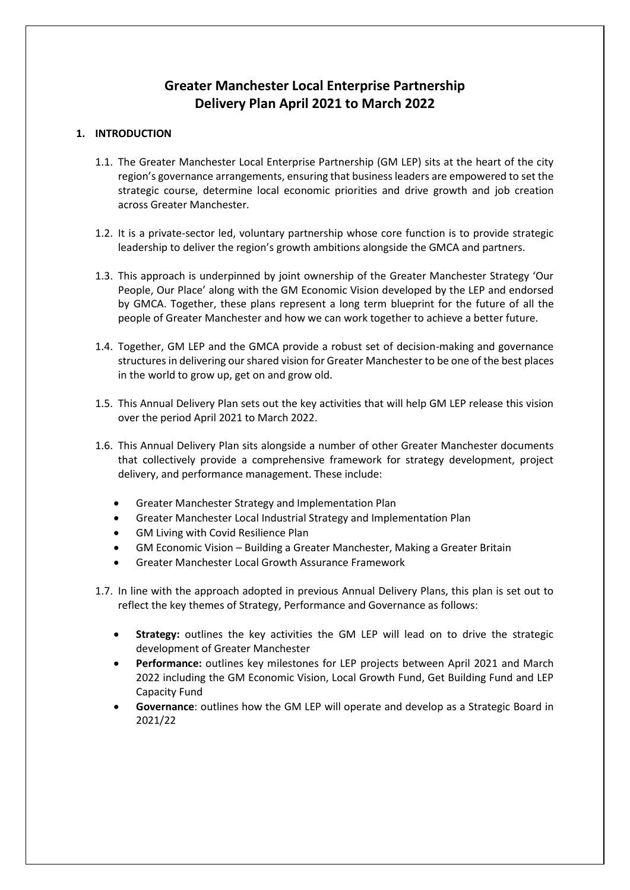# **Greater Manchester Local Enterprise Partnership Delivery Plan April 2021 to March 2022**

# **1. INTRODUCTION**

- 1.1. The Greater Manchester Local Enterprise Partnership (GM LEP) sits at the heart of the city region's governance arrangements, ensuring that business leaders are empowered to set the strategic course, determine local economic priorities and drive growth and job creation across Greater Manchester.
- 1.2. It is a private-sector led, voluntary partnership whose core function is to provide strategic leadership to deliver the region's growth ambitions alongside the GMCA and partners.
- 1.3. This approach is underpinned by joint ownership of the Greater Manchester Strategy 'Our People, Our Place' along with the GM Economic Vision developed by the LEP and endorsed by GMCA. Together, these plans represent a long term blueprint for the future of all the people of Greater Manchester and how we can work together to achieve a better future.
- 1.4. Together, GM LEP and the GMCA provide a robust set of decision-making and governance structures in delivering our shared vision for Greater Manchester to be one of the best places in the world to grow up, get on and grow old.
- 1.5. This Annual Delivery Plan sets out the key activities that will help GM LEP release this vision over the period April 2021 to March 2022.
- 1.6. This Annual Delivery Plan sits alongside a number of other Greater Manchester documents that collectively provide a comprehensive framework for strategy development, project delivery, and performance management. These include:
	- Greater Manchester Strategy and Implementation Plan
	- Greater Manchester Local Industrial Strategy and Implementation Plan
	- GM Living with Covid Resilience Plan
	- GM Economic Vision Building a Greater Manchester, Making a Greater Britain
	- Greater Manchester Local Growth Assurance Framework
- 1.7. In line with the approach adopted in previous Annual Delivery Plans, this plan is set out to reflect the key themes of Strategy, Performance and Governance as follows:
	- **Strategy:** outlines the key activities the GM LEP will lead on to drive the strategic development of Greater Manchester
	- **Performance:** outlines key milestones for LEP projects between April 2021 and March 2022 including the GM Economic Vision, Local Growth Fund, Get Building Fund and LEP Capacity Fund
	- **Governance**: outlines how the GM LEP will operate and develop as a Strategic Board in 2021/22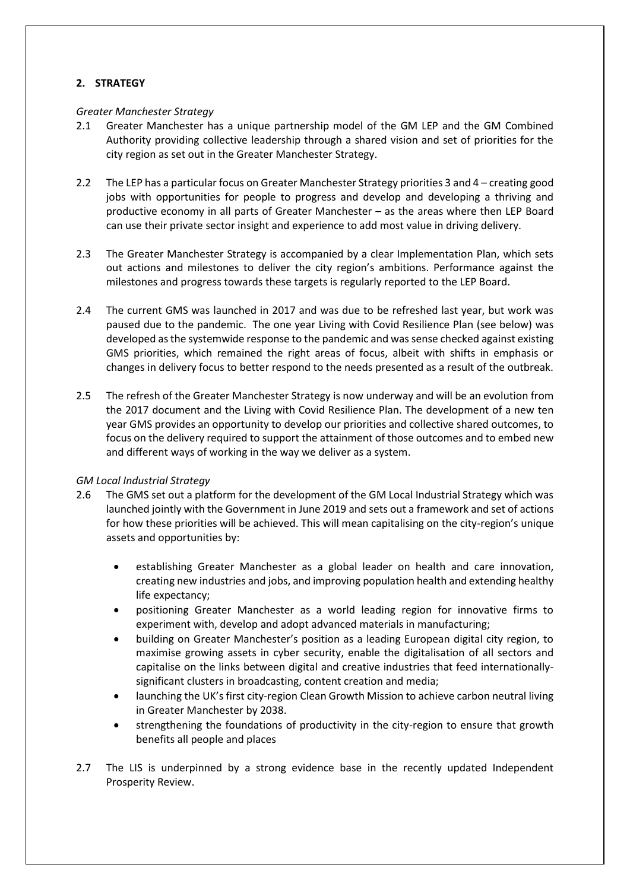# **2. STRATEGY**

#### *Greater Manchester Strategy*

- 2.1 Greater Manchester has a unique partnership model of the GM LEP and the GM Combined Authority providing collective leadership through a shared vision and set of priorities for the city region as set out in the Greater Manchester Strategy.
- 2.2 The LEP has a particular focus on Greater Manchester Strategy priorities 3 and 4 creating good jobs with opportunities for people to progress and develop and developing a thriving and productive economy in all parts of Greater Manchester – as the areas where then LEP Board can use their private sector insight and experience to add most value in driving delivery.
- 2.3 The Greater Manchester Strategy is accompanied by a clear Implementation Plan, which sets out actions and milestones to deliver the city region's ambitions. Performance against the milestones and progress towards these targets is regularly reported to the LEP Board.
- 2.4 The current GMS was launched in 2017 and was due to be refreshed last year, but work was paused due to the pandemic. The one year Living with Covid Resilience Plan (see below) was developed as the systemwide response to the pandemic and was sense checked against existing GMS priorities, which remained the right areas of focus, albeit with shifts in emphasis or changes in delivery focus to better respond to the needs presented as a result of the outbreak.
- 2.5 The refresh of the Greater Manchester Strategy is now underway and will be an evolution from the 2017 document and the Living with Covid Resilience Plan. The development of a new ten year GMS provides an opportunity to develop our priorities and collective shared outcomes, to focus on the delivery required to support the attainment of those outcomes and to embed new and different ways of working in the way we deliver as a system.

#### *GM Local Industrial Strategy*

- 2.6 The GMS set out a platform for the development of the GM Local Industrial Strategy which was launched jointly with the Government in June 2019 and sets out a framework and set of actions for how these priorities will be achieved. This will mean capitalising on the city-region's unique assets and opportunities by:
	- establishing Greater Manchester as a global leader on health and care innovation, creating new industries and jobs, and improving population health and extending healthy life expectancy;
	- positioning Greater Manchester as a world leading region for innovative firms to experiment with, develop and adopt advanced materials in manufacturing;
	- building on Greater Manchester's position as a leading European digital city region, to maximise growing assets in cyber security, enable the digitalisation of all sectors and capitalise on the links between digital and creative industries that feed internationallysignificant clusters in broadcasting, content creation and media;
	- launching the UK's first city-region Clean Growth Mission to achieve carbon neutral living in Greater Manchester by 2038.
	- strengthening the foundations of productivity in the city-region to ensure that growth benefits all people and places
- 2.7 The LIS is underpinned by a strong evidence base in the recently updated Independent Prosperity Review.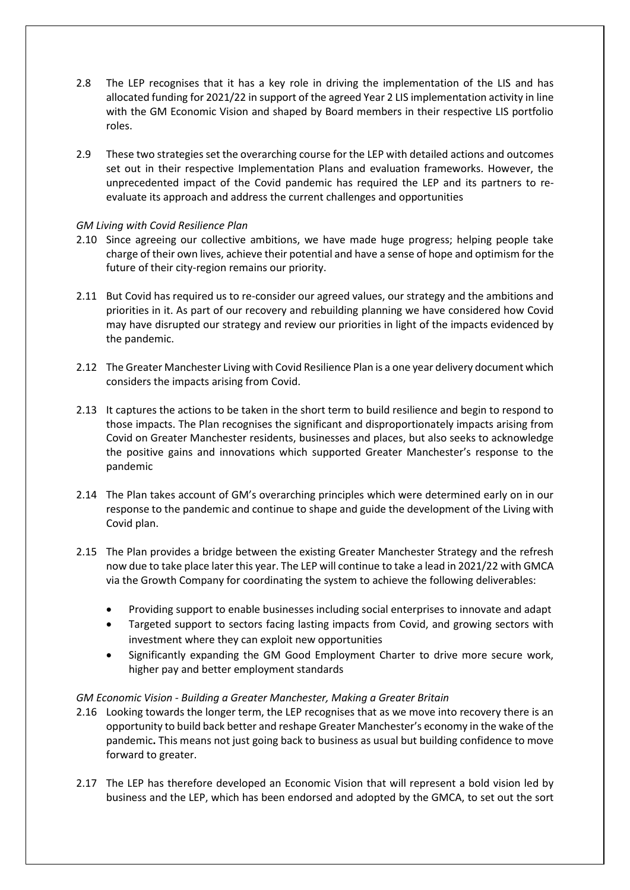- 2.8 The LEP recognises that it has a key role in driving the implementation of the LIS and has allocated funding for 2021/22 in support of the agreed Year 2 LIS implementation activity in line with the GM Economic Vision and shaped by Board members in their respective LIS portfolio roles.
- 2.9 These two strategies set the overarching course for the LEP with detailed actions and outcomes set out in their respective Implementation Plans and evaluation frameworks. However, the unprecedented impact of the Covid pandemic has required the LEP and its partners to reevaluate its approach and address the current challenges and opportunities

#### *GM Living with Covid Resilience Plan*

- 2.10 Since agreeing our collective ambitions, we have made huge progress; helping people take charge of their own lives, achieve their potential and have a sense of hope and optimism for the future of their city-region remains our priority.
- 2.11 But Covid has required us to re-consider our agreed values, our strategy and the ambitions and priorities in it. As part of our recovery and rebuilding planning we have considered how Covid may have disrupted our strategy and review our priorities in light of the impacts evidenced by the pandemic.
- 2.12 The Greater Manchester Living with Covid Resilience Plan is a one year delivery document which considers the impacts arising from Covid.
- 2.13 It captures the actions to be taken in the short term to build resilience and begin to respond to those impacts. The Plan recognises the significant and disproportionately impacts arising from Covid on Greater Manchester residents, businesses and places, but also seeks to acknowledge the positive gains and innovations which supported Greater Manchester's response to the pandemic
- 2.14 The Plan takes account of GM's overarching principles which were determined early on in our response to the pandemic and continue to shape and guide the development of the Living with Covid plan.
- 2.15 The Plan provides a bridge between the existing Greater Manchester Strategy and the refresh now due to take place later this year. The LEP will continue to take a lead in 2021/22 with GMCA via the Growth Company for coordinating the system to achieve the following deliverables:
	- Providing support to enable businesses including social enterprises to innovate and adapt
	- Targeted support to sectors facing lasting impacts from Covid, and growing sectors with investment where they can exploit new opportunities
	- Significantly expanding the GM Good Employment Charter to drive more secure work, higher pay and better employment standards

#### *GM Economic Vision - Building a Greater Manchester, Making a Greater Britain*

- 2.16 Looking towards the longer term, the LEP recognises that as we move into recovery there is an opportunity to build back better and reshape Greater Manchester's economy in the wake of the pandemic**.** This means not just going back to business as usual but building confidence to move forward to greater.
- 2.17 The LEP has therefore developed an Economic Vision that will represent a bold vision led by business and the LEP, which has been endorsed and adopted by the GMCA, to set out the sort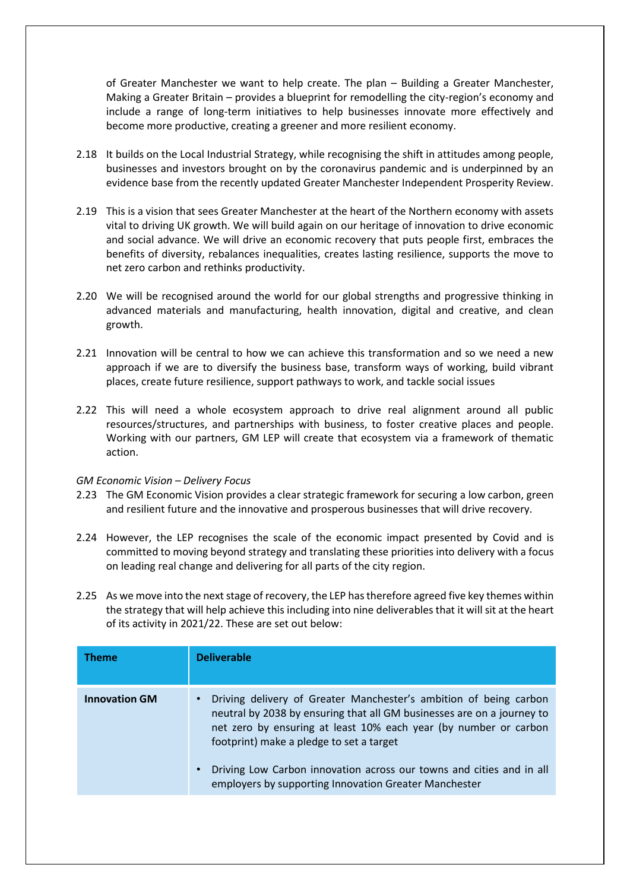of Greater Manchester we want to help create. The plan – Building a Greater Manchester, Making a Greater Britain – provides a blueprint for remodelling the city-region's economy and include a range of long-term initiatives to help businesses innovate more effectively and become more productive, creating a greener and more resilient economy.

- 2.18 It builds on the Local Industrial Strategy, while recognising the shift in attitudes among people, businesses and investors brought on by the coronavirus pandemic and is underpinned by an evidence base from the recently updated Greater Manchester Independent Prosperity Review.
- 2.19 This is a vision that sees Greater Manchester at the heart of the Northern economy with assets vital to driving UK growth. We will build again on our heritage of innovation to drive economic and social advance. We will drive an economic recovery that puts people first, embraces the benefits of diversity, rebalances inequalities, creates lasting resilience, supports the move to net zero carbon and rethinks productivity.
- 2.20 We will be recognised around the world for our global strengths and progressive thinking in advanced materials and manufacturing, health innovation, digital and creative, and clean growth.
- 2.21 Innovation will be central to how we can achieve this transformation and so we need a new approach if we are to diversify the business base, transform ways of working, build vibrant places, create future resilience, support pathways to work, and tackle social issues
- 2.22 This will need a whole ecosystem approach to drive real alignment around all public resources/structures, and partnerships with business, to foster creative places and people. Working with our partners, GM LEP will create that ecosystem via a framework of thematic action.

#### *GM Economic Vision – Delivery Focus*

- 2.23 The GM Economic Vision provides a clear strategic framework for securing a low carbon, green and resilient future and the innovative and prosperous businesses that will drive recovery.
- 2.24 However, the LEP recognises the scale of the economic impact presented by Covid and is committed to moving beyond strategy and translating these priorities into delivery with a focus on leading real change and delivering for all parts of the city region.
- 2.25 As we move into the next stage of recovery, the LEP has therefore agreed five key themes within the strategy that will help achieve this including into nine deliverables that it will sit at the heart of its activity in 2021/22. These are set out below:

| <b>Theme</b>         | <b>Deliverable</b>                                                                                                                                                                                                                                                                                                                                                                           |
|----------------------|----------------------------------------------------------------------------------------------------------------------------------------------------------------------------------------------------------------------------------------------------------------------------------------------------------------------------------------------------------------------------------------------|
| <b>Innovation GM</b> | Driving delivery of Greater Manchester's ambition of being carbon<br>neutral by 2038 by ensuring that all GM businesses are on a journey to<br>net zero by ensuring at least 10% each year (by number or carbon<br>footprint) make a pledge to set a target<br>Driving Low Carbon innovation across our towns and cities and in all<br>employers by supporting Innovation Greater Manchester |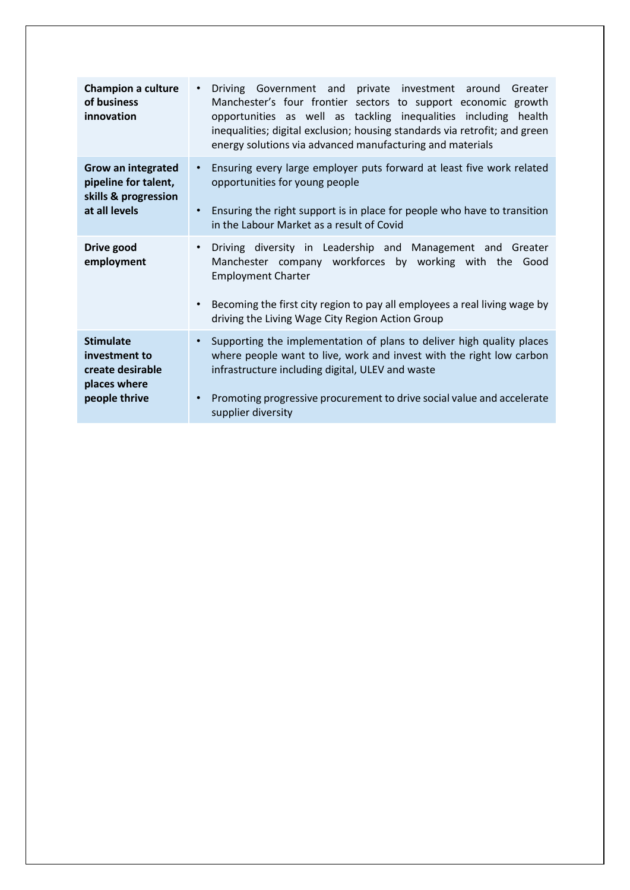| <b>Champion a culture</b><br>of business<br>innovation                                     | Driving Government and private investment around<br>$\bullet$<br>Greater<br>Manchester's four frontier sectors to support economic growth<br>opportunities as well as tackling inequalities including health<br>inequalities; digital exclusion; housing standards via retrofit; and green<br>energy solutions via advanced manufacturing and materials |
|--------------------------------------------------------------------------------------------|---------------------------------------------------------------------------------------------------------------------------------------------------------------------------------------------------------------------------------------------------------------------------------------------------------------------------------------------------------|
| <b>Grow an integrated</b><br>pipeline for talent,<br>skills & progression<br>at all levels | Ensuring every large employer puts forward at least five work related<br>$\bullet$<br>opportunities for young people<br>• Ensuring the right support is in place for people who have to transition<br>in the Labour Market as a result of Covid                                                                                                         |
| Drive good<br>employment                                                                   | Driving diversity in Leadership and Management and Greater<br>$\bullet$<br>Manchester company workforces by working with the Good<br><b>Employment Charter</b><br>Becoming the first city region to pay all employees a real living wage by<br>$\bullet$<br>driving the Living Wage City Region Action Group                                            |
| <b>Stimulate</b><br>investment to<br>create desirable<br>places where<br>people thrive     | Supporting the implementation of plans to deliver high quality places<br>$\bullet$<br>where people want to live, work and invest with the right low carbon<br>infrastructure including digital, ULEV and waste<br>Promoting progressive procurement to drive social value and accelerate<br>$\bullet$<br>supplier diversity                             |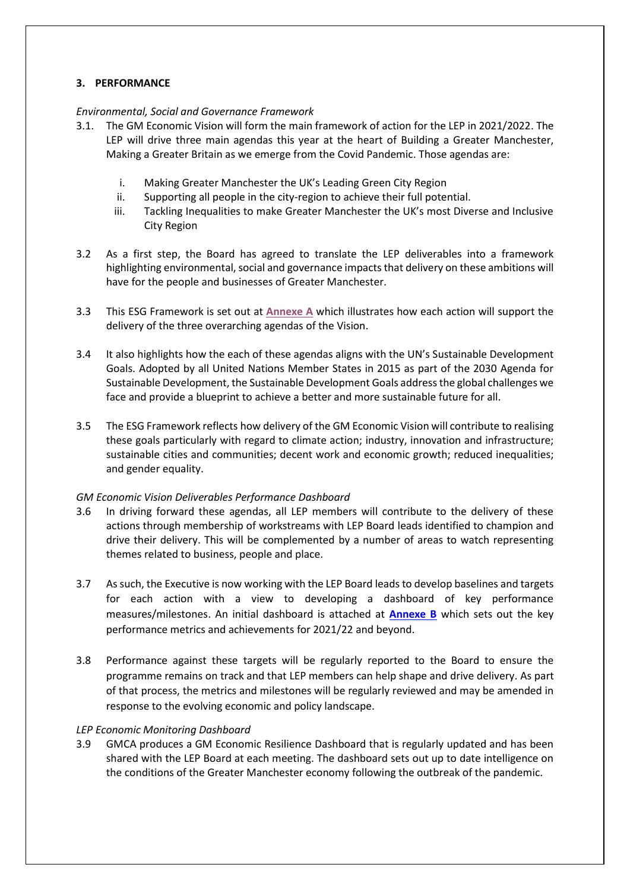# **3. PERFORMANCE**

# *Environmental, Social and Governance Framework*

- 3.1. The GM Economic Vision will form the main framework of action for the LEP in 2021/2022. The LEP will drive three main agendas this year at the heart of Building a Greater Manchester, Making a Greater Britain as we emerge from the Covid Pandemic. Those agendas are:
	- i. Making Greater Manchester the UK's Leading Green City Region
	- ii. Supporting all people in the city-region to achieve their full potential.
	- iii. Tackling Inequalities to make Greater Manchester the UK's most Diverse and Inclusive City Region
- 3.2 As a first step, the Board has agreed to translate the LEP deliverables into a framework highlighting environmental, social and governance impacts that delivery on these ambitions will have for the people and businesses of Greater Manchester.
- 3.3 This ESG Framework is set out at **[Annexe A](https://gmlep.com/wp-content/uploads/2021/10/Annexe-A-ESG-Framework-and-SDGs.pdf)** which illustrates how each action will support the delivery of the three overarching agendas of the Vision.
- 3.4 It also highlights how the each of these agendas aligns with the UN's Sustainable Development Goals. Adopted by all United Nations Member States in 2015 as part of the 2030 Agenda for Sustainable Development, the Sustainable Development Goals address the global challenges we face and provide a blueprint to achieve a better and more sustainable future for all.
- 3.5 The ESG Framework reflects how delivery of the GM Economic Vision will contribute to realising these goals particularly with regard to climate action; industry, innovation and infrastructure; sustainable cities and communities; decent work and economic growth; reduced inequalities; and gender equality.

#### *GM Economic Vision Deliverables Performance Dashboard*

- 3.6 In driving forward these agendas, all LEP members will contribute to the delivery of these actions through membership of workstreams with LEP Board leads identified to champion and drive their delivery. This will be complemented by a number of areas to watch representing themes related to business, people and place.
- 3.7 As such, the Executive is now working with the LEP Board leads to develop baselines and targets for each action with a view to developing a dashboard of key performance measures/milestones. An initial dashboard is attached at **[Annexe B](https://gmlep.com/wp-content/uploads/2021/10/Annex-B-LEP-Deliverables-Dashboard-.docx)** which sets out the key performance metrics and achievements for 2021/22 and beyond.
- 3.8 Performance against these targets will be regularly reported to the Board to ensure the programme remains on track and that LEP members can help shape and drive delivery. As part of that process, the metrics and milestones will be regularly reviewed and may be amended in response to the evolving economic and policy landscape.

#### *LEP Economic Monitoring Dashboard*

3.9 GMCA produces a GM Economic Resilience Dashboard that is regularly updated and has been shared with the LEP Board at each meeting. The dashboard sets out up to date intelligence on the conditions of the Greater Manchester economy following the outbreak of the pandemic.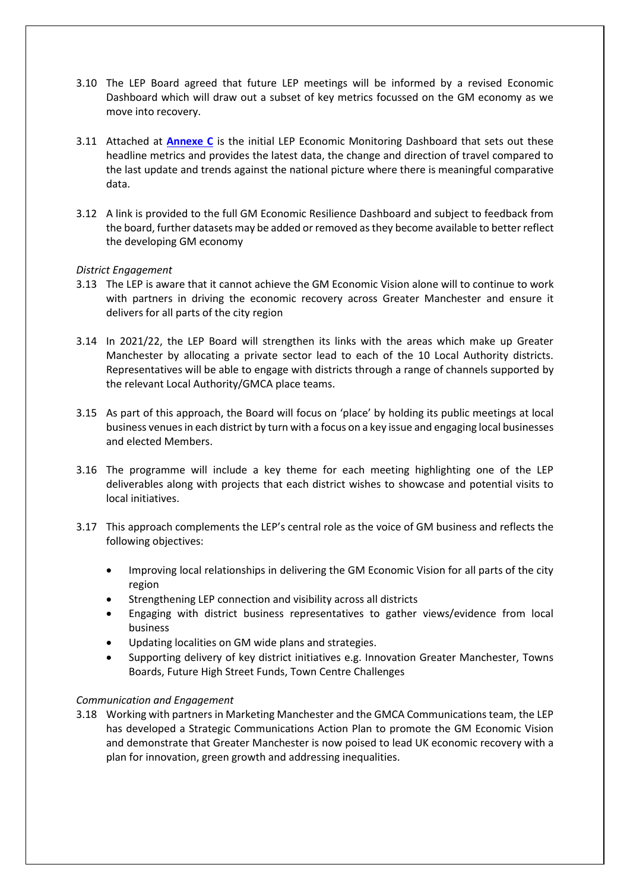- 3.10 The LEP Board agreed that future LEP meetings will be informed by a revised Economic Dashboard which will draw out a subset of key metrics focussed on the GM economy as we move into recovery.
- 3.11 Attached at **[Annexe C](https://gmlep.com/wp-content/uploads/2021/10/Annexe-C-LEP-Economic-Monitoring-Dashboard-Sept.pdf)** is the initial LEP Economic Monitoring Dashboard that sets out these headline metrics and provides the latest data, the change and direction of travel compared to the last update and trends against the national picture where there is meaningful comparative data.
- 3.12 A link is provided to the full GM Economic Resilience Dashboard and subject to feedback from the board, further datasets may be added or removed as they become available to better reflect the developing GM economy

#### *District Engagement*

- 3.13 The LEP is aware that it cannot achieve the GM Economic Vision alone will to continue to work with partners in driving the economic recovery across Greater Manchester and ensure it delivers for all parts of the city region
- 3.14 In 2021/22, the LEP Board will strengthen its links with the areas which make up Greater Manchester by allocating a private sector lead to each of the 10 Local Authority districts. Representatives will be able to engage with districts through a range of channels supported by the relevant Local Authority/GMCA place teams.
- 3.15 As part of this approach, the Board will focus on 'place' by holding its public meetings at local business venues in each district by turn with a focus on a key issue and engaging local businesses and elected Members.
- 3.16 The programme will include a key theme for each meeting highlighting one of the LEP deliverables along with projects that each district wishes to showcase and potential visits to local initiatives.
- 3.17 This approach complements the LEP's central role as the voice of GM business and reflects the following objectives:
	- Improving local relationships in delivering the GM Economic Vision for all parts of the city region
	- Strengthening LEP connection and visibility across all districts
	- Engaging with district business representatives to gather views/evidence from local business
	- Updating localities on GM wide plans and strategies.
	- Supporting delivery of key district initiatives e.g. Innovation Greater Manchester, Towns Boards, Future High Street Funds, Town Centre Challenges

#### *Communication and Engagement*

3.18 Working with partners in Marketing Manchester and the GMCA Communications team, the LEP has developed a Strategic Communications Action Plan to promote the GM Economic Vision and demonstrate that Greater Manchester is now poised to lead UK economic recovery with a plan for innovation, green growth and addressing inequalities.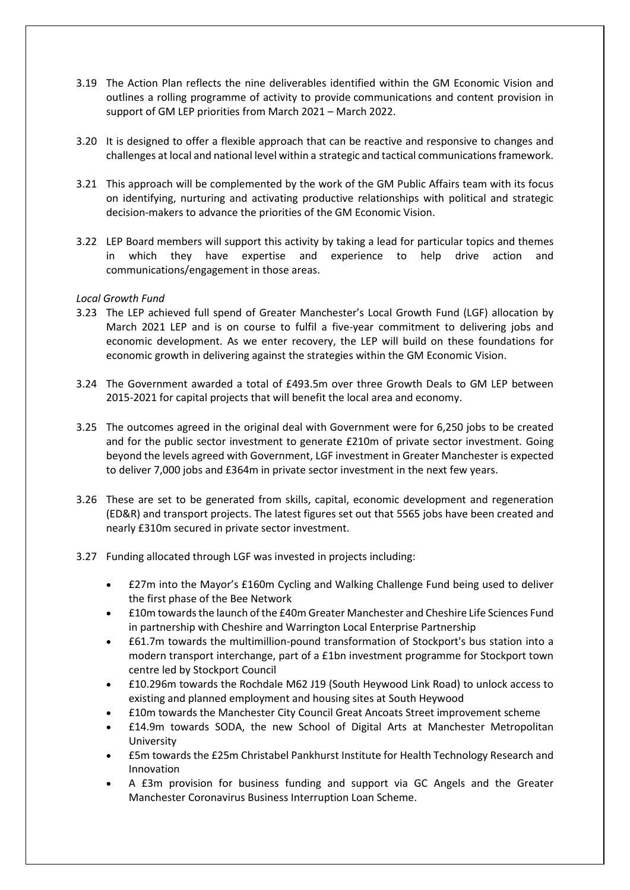- 3.19 The Action Plan reflects the nine deliverables identified within the GM Economic Vision and outlines a rolling programme of activity to provide communications and content provision in support of GM LEP priorities from March 2021 – March 2022.
- 3.20 It is designed to offer a flexible approach that can be reactive and responsive to changes and challenges at local and national level within a strategic and tactical communications framework.
- 3.21 This approach will be complemented by the work of the GM Public Affairs team with its focus on identifying, nurturing and activating productive relationships with political and strategic decision-makers to advance the priorities of the GM Economic Vision.
- 3.22 LEP Board members will support this activity by taking a lead for particular topics and themes in which they have expertise and experience to help drive action and communications/engagement in those areas.

# *Local Growth Fund*

- 3.23 The LEP achieved full spend of Greater Manchester's Local Growth Fund (LGF) allocation by March 2021 LEP and is on course to fulfil a five-year commitment to delivering jobs and economic development. As we enter recovery, the LEP will build on these foundations for economic growth in delivering against the strategies within the GM Economic Vision.
- 3.24 The Government awarded a total of £493.5m over three Growth Deals to GM LEP between 2015-2021 for capital projects that will benefit the local area and economy.
- 3.25 The outcomes agreed in the original deal with Government were for 6,250 jobs to be created and for the public sector investment to generate £210m of private sector investment. Going beyond the levels agreed with Government, LGF investment in Greater Manchester is expected to deliver 7,000 jobs and £364m in private sector investment in the next few years.
- 3.26 These are set to be generated from skills, capital, economic development and regeneration (ED&R) and transport projects. The latest figures set out that 5565 jobs have been created and nearly £310m secured in private sector investment.
- 3.27 Funding allocated through LGF was invested in projects including:
	- £27m into the Mayor's £160m Cycling and Walking Challenge Fund being used to deliver the first phase of the Bee Network
	- £10m towards the launch of the £40m Greater Manchester and Cheshire Life Sciences Fund in partnership with Cheshire and Warrington Local Enterprise Partnership
	- £61.7m towards the multimillion-pound transformation of Stockport's bus station into a modern transport interchange, part of a £1bn investment programme for Stockport town centre led by Stockport Council
	- £10.296m towards the Rochdale M62 J19 (South Heywood Link Road) to unlock access to existing and planned employment and housing sites at South Heywood
	- £10m towards the Manchester City Council Great Ancoats Street improvement scheme
	- £14.9m towards SODA, the new School of Digital Arts at Manchester Metropolitan University
	- £5m towards the £25m Christabel Pankhurst Institute for Health Technology Research and Innovation
	- A £3m provision for business funding and support via GC Angels and the Greater Manchester Coronavirus Business Interruption Loan Scheme.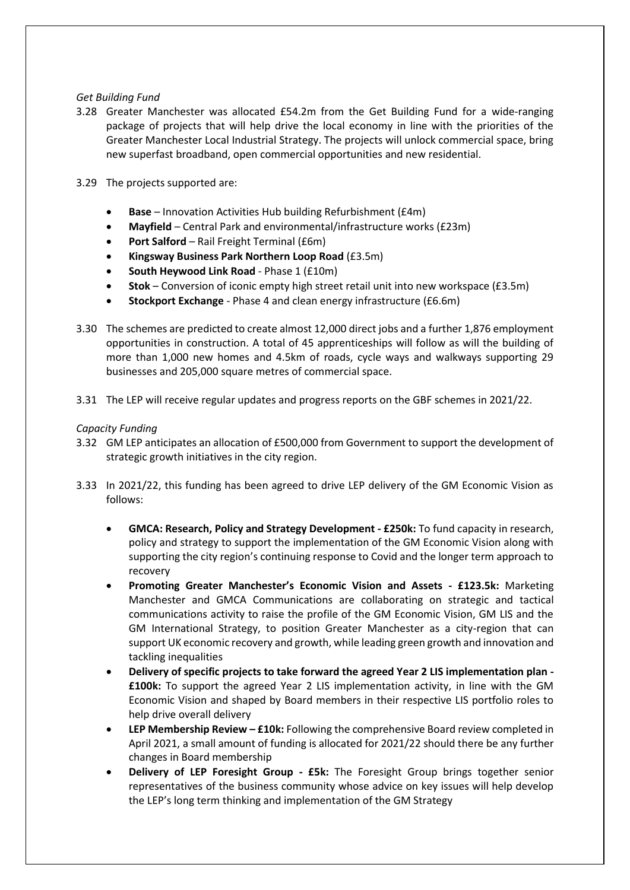# *Get Building Fund*

- 3.28 Greater Manchester was allocated £54.2m from the Get Building Fund for a wide-ranging package of projects that will help drive the local economy in line with the priorities of the Greater Manchester Local Industrial Strategy. The projects will unlock commercial space, bring new superfast broadband, open commercial opportunities and new residential.
- 3.29 The projects supported are:
	- **Base**  Innovation Activities Hub building Refurbishment (£4m)
	- **Mayfield**  Central Park and environmental/infrastructure works (£23m)
	- **Port Salford** Rail Freight Terminal (£6m)
	- **Kingsway Business Park Northern Loop Road** (£3.5m)
	- **South Heywood Link Road** Phase 1 (£10m)
	- **Stok** Conversion of iconic empty high street retail unit into new workspace (£3.5m)
	- **Stockport Exchange** Phase 4 and clean energy infrastructure (£6.6m)
- 3.30 The schemes are predicted to create almost 12,000 direct jobs and a further 1,876 employment opportunities in construction. A total of 45 apprenticeships will follow as will the building of more than 1,000 new homes and 4.5km of roads, cycle ways and walkways supporting 29 businesses and 205,000 square metres of commercial space.
- 3.31 The LEP will receive regular updates and progress reports on the GBF schemes in 2021/22.

#### *Capacity Funding*

- 3.32 GM LEP anticipates an allocation of £500,000 from Government to support the development of strategic growth initiatives in the city region.
- 3.33 In 2021/22, this funding has been agreed to drive LEP delivery of the GM Economic Vision as follows:
	- **GMCA: Research, Policy and Strategy Development - £250k:** To fund capacity in research, policy and strategy to support the implementation of the GM Economic Vision along with supporting the city region's continuing response to Covid and the longer term approach to recovery
	- **Promoting Greater Manchester's Economic Vision and Assets - £123.5k:** Marketing Manchester and GMCA Communications are collaborating on strategic and tactical communications activity to raise the profile of the GM Economic Vision, GM LIS and the GM International Strategy, to position Greater Manchester as a city-region that can support UK economic recovery and growth, while leading green growth and innovation and tackling inequalities
	- **Delivery of specific projects to take forward the agreed Year 2 LIS implementation plan - £100k:** To support the agreed Year 2 LIS implementation activity, in line with the GM Economic Vision and shaped by Board members in their respective LIS portfolio roles to help drive overall delivery
	- **LEP Membership Review – £10k:** Following the comprehensive Board review completed in April 2021, a small amount of funding is allocated for 2021/22 should there be any further changes in Board membership
	- **Delivery of LEP Foresight Group - £5k:** The Foresight Group brings together senior representatives of the business community whose advice on key issues will help develop the LEP's long term thinking and implementation of the GM Strategy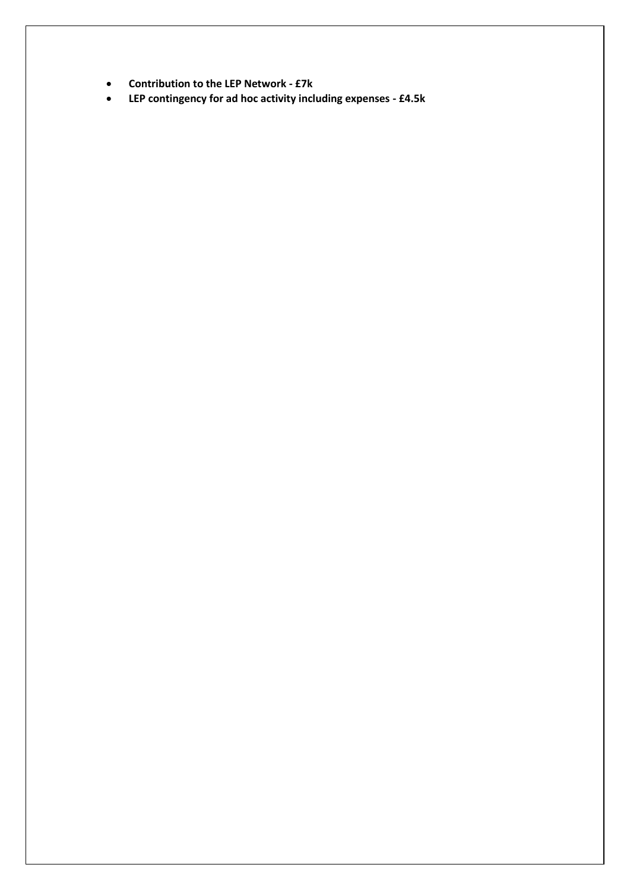- **Contribution to the LEP Network - £7k**
- **LEP contingency for ad hoc activity including expenses - £4.5k**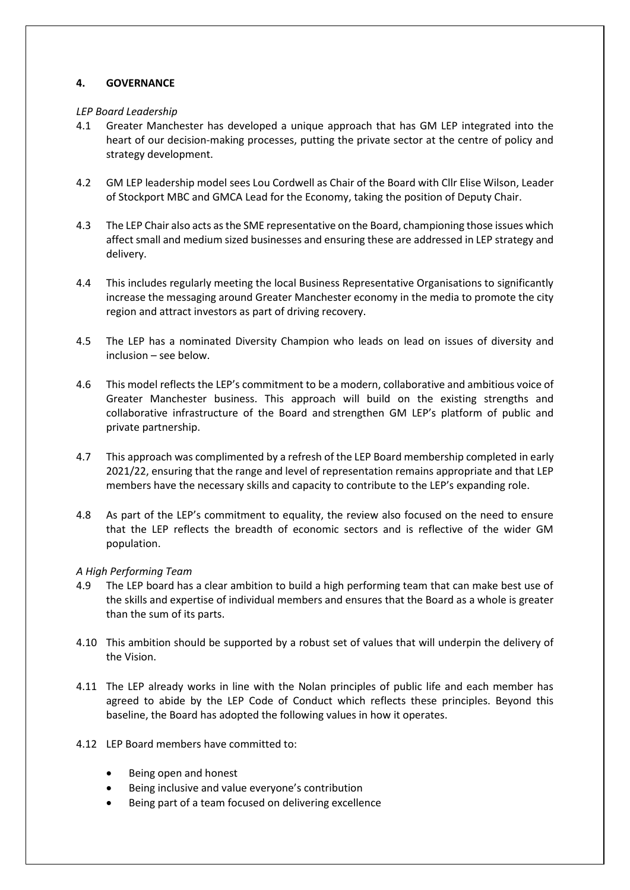# **4. GOVERNANCE**

#### *LEP Board Leadership*

- 4.1 Greater Manchester has developed a unique approach that has GM LEP integrated into the heart of our decision-making processes, putting the private sector at the centre of policy and strategy development.
- 4.2 GM LEP leadership model sees Lou Cordwell as Chair of the Board with Cllr Elise Wilson, Leader of Stockport MBC and GMCA Lead for the Economy, taking the position of Deputy Chair.
- 4.3 The LEP Chair also acts as the SME representative on the Board, championing those issues which affect small and medium sized businesses and ensuring these are addressed in LEP strategy and delivery.
- 4.4 This includes regularly meeting the local Business Representative Organisations to significantly increase the messaging around Greater Manchester economy in the media to promote the city region and attract investors as part of driving recovery.
- 4.5 The LEP has a nominated Diversity Champion who leads on lead on issues of diversity and inclusion – see below.
- 4.6 This model reflects the LEP's commitment to be a modern, collaborative and ambitious voice of Greater Manchester business. This approach will build on the existing strengths and collaborative infrastructure of the Board and strengthen GM LEP's platform of public and private partnership.
- 4.7 This approach was complimented by a refresh of the LEP Board membership completed in early 2021/22, ensuring that the range and level of representation remains appropriate and that LEP members have the necessary skills and capacity to contribute to the LEP's expanding role.
- 4.8 As part of the LEP's commitment to equality, the review also focused on the need to ensure that the LEP reflects the breadth of economic sectors and is reflective of the wider GM population.

#### *A High Performing Team*

- 4.9 The LEP board has a clear ambition to build a high performing team that can make best use of the skills and expertise of individual members and ensures that the Board as a whole is greater than the sum of its parts.
- 4.10 This ambition should be supported by a robust set of values that will underpin the delivery of the Vision.
- 4.11 The LEP already works in line with the Nolan principles of public life and each member has agreed to abide by the LEP Code of Conduct which reflects these principles. Beyond this baseline, the Board has adopted the following values in how it operates.
- 4.12 LEP Board members have committed to:
	- Being open and honest
	- Being inclusive and value everyone's contribution
	- Being part of a team focused on delivering excellence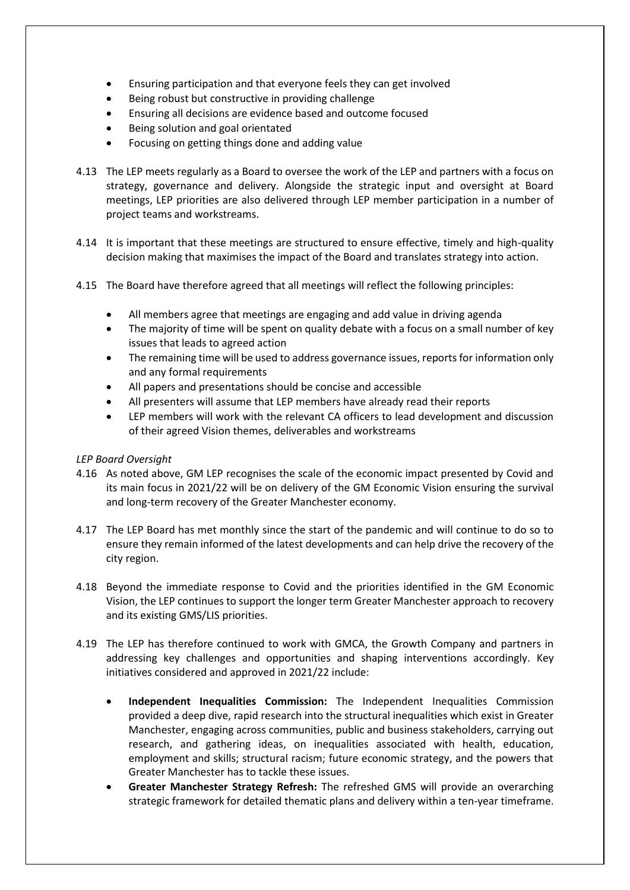- Ensuring participation and that everyone feels they can get involved
- Being robust but constructive in providing challenge
- Ensuring all decisions are evidence based and outcome focused
- Being solution and goal orientated
- Focusing on getting things done and adding value
- 4.13 The LEP meets regularly as a Board to oversee the work of the LEP and partners with a focus on strategy, governance and delivery. Alongside the strategic input and oversight at Board meetings, LEP priorities are also delivered through LEP member participation in a number of project teams and workstreams.
- 4.14 It is important that these meetings are structured to ensure effective, timely and high-quality decision making that maximises the impact of the Board and translates strategy into action.
- 4.15 The Board have therefore agreed that all meetings will reflect the following principles:
	- All members agree that meetings are engaging and add value in driving agenda
	- The majority of time will be spent on quality debate with a focus on a small number of key issues that leads to agreed action
	- The remaining time will be used to address governance issues, reports for information only and any formal requirements
	- All papers and presentations should be concise and accessible
	- All presenters will assume that LEP members have already read their reports
	- LEP members will work with the relevant CA officers to lead development and discussion of their agreed Vision themes, deliverables and workstreams

#### *LEP Board Oversight*

- 4.16 As noted above, GM LEP recognises the scale of the economic impact presented by Covid and its main focus in 2021/22 will be on delivery of the GM Economic Vision ensuring the survival and long-term recovery of the Greater Manchester economy.
- 4.17 The LEP Board has met monthly since the start of the pandemic and will continue to do so to ensure they remain informed of the latest developments and can help drive the recovery of the city region.
- 4.18 Beyond the immediate response to Covid and the priorities identified in the GM Economic Vision, the LEP continues to support the longer term Greater Manchester approach to recovery and its existing GMS/LIS priorities.
- 4.19 The LEP has therefore continued to work with GMCA, the Growth Company and partners in addressing key challenges and opportunities and shaping interventions accordingly. Key initiatives considered and approved in 2021/22 include:
	- **Independent Inequalities Commission:** The Independent Inequalities Commission provided a deep dive, rapid research into the structural inequalities which exist in Greater Manchester, engaging across communities, public and business stakeholders, carrying out research, and gathering ideas, on inequalities associated with health, education, employment and skills; structural racism; future economic strategy, and the powers that Greater Manchester has to tackle these issues.
	- **Greater Manchester Strategy Refresh:** The refreshed GMS will provide an overarching strategic framework for detailed thematic plans and delivery within a ten-year timeframe.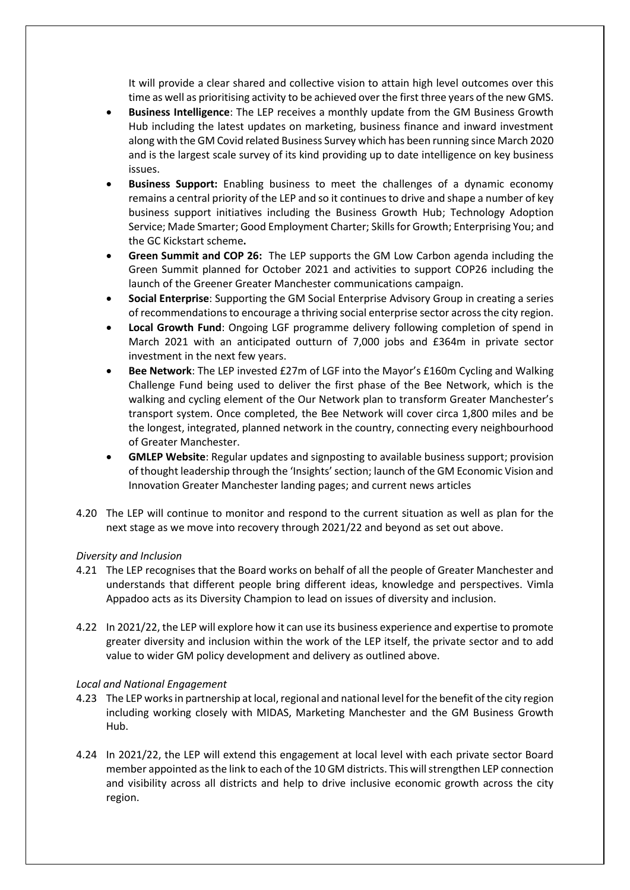It will provide a clear shared and collective vision to attain high level outcomes over this time as well as prioritising activity to be achieved over the first three years of the new GMS.

- **Business Intelligence**: The LEP receives a monthly update from the GM Business Growth Hub including the latest updates on marketing, business finance and inward investment along with the GM Covid related Business Survey which has been running since March 2020 and is the largest scale survey of its kind providing up to date intelligence on key business issues.
- **Business Support:** Enabling business to meet the challenges of a dynamic economy remains a central priority of the LEP and so it continues to drive and shape a number of key business support initiatives including the Business Growth Hub; Technology Adoption Service; Made Smarter; Good Employment Charter; Skills for Growth; Enterprising You; and the GC Kickstart scheme**.**
- **Green Summit and COP 26:** The LEP supports the GM Low Carbon agenda including the Green Summit planned for October 2021 and activities to support COP26 including the launch of the Greener Greater Manchester communications campaign.
- **Social Enterprise**: Supporting the GM Social Enterprise Advisory Group in creating a series of recommendations to encourage a thriving social enterprise sector across the city region.
- **Local Growth Fund**: Ongoing LGF programme delivery following completion of spend in March 2021 with an anticipated outturn of 7,000 jobs and £364m in private sector investment in the next few years.
- **Bee Network**: The LEP invested £27m of LGF into the Mayor's £160m Cycling and Walking Challenge Fund being used to deliver the first phase of the Bee Network, which is the walking and cycling element of the Our Network plan to transform Greater Manchester's transport system. Once completed, the Bee Network will cover circa 1,800 miles and be the longest, integrated, planned network in the country, connecting every neighbourhood of Greater Manchester.
- **GMLEP Website**: Regular updates and signposting to available business support; provision of thought leadership through the 'Insights' section; launch of the GM Economic Vision and Innovation Greater Manchester landing pages; and current news articles
- 4.20 The LEP will continue to monitor and respond to the current situation as well as plan for the next stage as we move into recovery through 2021/22 and beyond as set out above.

#### *Diversity and Inclusion*

- 4.21 The LEP recognises that the Board works on behalf of all the people of Greater Manchester and understands that different people bring different ideas, knowledge and perspectives. Vimla Appadoo acts as its Diversity Champion to lead on issues of diversity and inclusion.
- 4.22 In 2021/22, the LEP will explore how it can use its business experience and expertise to promote greater diversity and inclusion within the work of the LEP itself, the private sector and to add value to wider GM policy development and delivery as outlined above.

#### *Local and National Engagement*

- 4.23 The LEP works in partnership at local, regional and national level for the benefit of the city region including working closely with MIDAS, Marketing Manchester and the GM Business Growth Hub.
- 4.24 In 2021/22, the LEP will extend this engagement at local level with each private sector Board member appointed as the link to each of the 10 GM districts. This will strengthen LEP connection and visibility across all districts and help to drive inclusive economic growth across the city region.